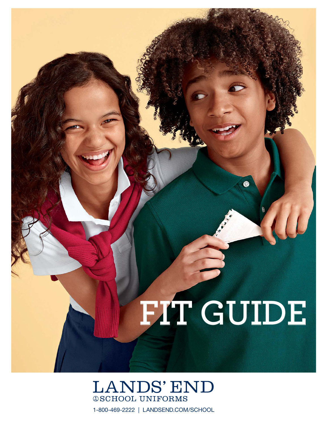# **FIT GUIDE**

⊛

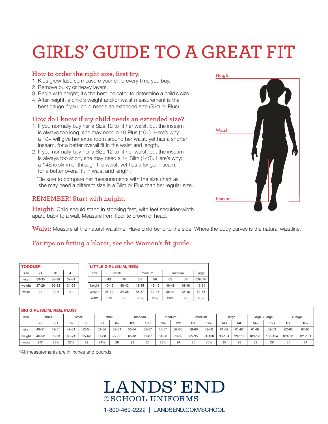## **GIRLS' GUIDE TO A GREAT FIT**

### **How to order the right size, first try.**

- 1. Kids grow fast, so measure your child every time you buy.
- 2. Remove bulky or heavy layers.
- 3. Begin with height; it's the best indicator to determine a child's size.
- 4. After height, a child's weight and/or waist measurement is the best gauge if your child needs an extended size (Slim or Plus).

### **How do I know if my child needs an extended size?**

- 1. If you normally buy her a Size 12 to fit her waist, but the inseam is always too long, she may need a 10 Plus (10+). Here's why: a 10+ will give her extra room around her waist, yet has a shorter inseam, for a better overall fit in the waist and length.
- 2. If you normally buy her a Size 12 to fit her waist, but the inseam is always too short, she may need a 14 Slim (14S). Here's why: a 14S is slimmer through the waist, yet has a longer inseam, for a better overall fit in waist and length.

 \* Be sure to compare her measurements with the size chart as she may need a different size in a Slim or Plus than her regular size.

### **REMEMBER! Start with height.**

**Height:** Child should stand in stocking feet, with feet shoulder-width apart, back to a wall. Measure from floor to crown of head.

**Waist:** Measure at the natural waistline. Have child bend to the side. Where the body curves is the natural waistline.

### **For tips on fitting a blazer, see the Women's fit guide.**

| <b>TODDLER</b> |           |           |           |  |  |  |  |  |  |  |
|----------------|-----------|-----------|-----------|--|--|--|--|--|--|--|
| size           | 2T        | 3T        | 4T        |  |  |  |  |  |  |  |
| height         | $33 - 35$ | 36-38     | $39 - 41$ |  |  |  |  |  |  |  |
| weight         | 27-29     | $30 - 33$ | 34-38     |  |  |  |  |  |  |  |
| waist          | 20        | $20\%$    | 21        |  |  |  |  |  |  |  |

| <b>LITTLE GIRL (SLIM, REG)</b> |                      |           |           |           |                 |                |        |  |  |  |  |  |
|--------------------------------|----------------------|-----------|-----------|-----------|-----------------|----------------|--------|--|--|--|--|--|
| size                           |                      | small     | medium    |           | medium          |                | large  |  |  |  |  |  |
|                                | 4 <sub>R</sub><br>4S |           | 5S        | 5R        | 6S              | 6 <sub>R</sub> | 6XR/7R |  |  |  |  |  |
| height                         | $40 - 42$            | $40 - 42$ | $43 - 45$ | $43 - 45$ | 46-48           | $46 - 48$      | 49-51  |  |  |  |  |  |
| weight                         | 28-32                | 34-38     | 33-37     | $39 - 43$ | $36 - 42$       | $42 - 48$      | 52-58  |  |  |  |  |  |
| waist                          | 193/4                | 22        | 201/4     | $22\%$    | $20\frac{3}{4}$ | 23             | 231/2  |  |  |  |  |  |

#### BIG GIRL (SLIM, REG, PLUS)

| size   | small |           | small           |       | small     |       | medium    |                 | medium          |            | medium          |            | large     |            | large-x-large |            | x-large         |         |
|--------|-------|-----------|-----------------|-------|-----------|-------|-----------|-----------------|-----------------|------------|-----------------|------------|-----------|------------|---------------|------------|-----------------|---------|
|        | 7S    | 7R        | (               | 8S    | 8R        | $8+$  | 10S       | 10 <sub>R</sub> | $10+$           | <b>12S</b> | 12 <sub>R</sub> | $12+$      | 14S       | <b>14R</b> | $14+$         | <b>16S</b> | 16 <sub>R</sub> | $16+$   |
| height | 49-51 | 49-51     | $49 - 5$        | 52-54 | $52 - 54$ | 52-54 | 55-57     | 55-57           | $55 - 57$       | 58-60      | 58-60           | 58-60      | $61 - 62$ | $61 - 62$  | $61 - 62$     | 62-63      | 62-63           | 62-63   |
| weight | 46-52 | $52 - 58$ | 63-71           | 55-62 | $61 - 68$ | 72-80 | $65 - 81$ | $71 - 87$       | $81 - 90$       | 79-89      | 85-95           | $91 - 108$ | 93-104    | 99-110     | 109-120       | 103-114    | 109-120         | 121-131 |
| waist  | 211/4 | 231/2     | $27\frac{1}{2}$ | 22    | 241/4     | 28    | 23        | 25              | $28\frac{1}{2}$ | 24         | 26              | 301/2      | 25        | 28         | 32            | 26         | 30              | 34      |

\*All measurements are in inches and pounds



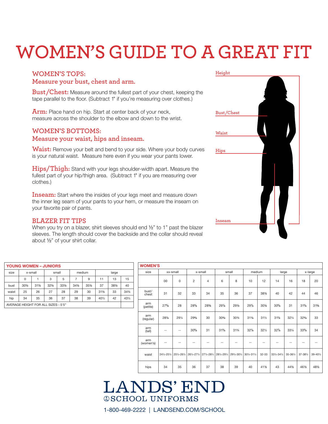# **WOMEN'S GUIDE TO A GREAT FIT**

### **WOMEN'S TOPS:**

### **Measure your bust, chest and arm.**

**Bust/Chest:** Measure around the fullest part of your chest, keeping the tape parallel to the floor. (Subtract 1" if you're measuring over clothes.)

**Arm:** Place hand on hip. Start at center back of your neck, measure across the shoulder to the elbow and down to the wrist.

### **WOMEN'S BOTTOMS:**

### **Measure your waist, hips and inseam.**

**Waist:** Remove your belt and bend to your side. Where your body curves is your natural waist. Measure here even if you wear your pants lower.

**Hips/Thigh:** Stand with your legs shoulder-width apart. Measure the fullest part of your hip/thigh area. (Subtract 1" if you are measuring over clothes.)

**Inseam:** Start where the insides of your legs meet and measure down the inner leg seam of your pants to your hem, or measure the inseam on your favorite pair of pants.

### **BLAZER FIT TIPS**

When you try on a blazer, shirt sleeves should end 1/2" to 1" past the blazer sleeves. The length should cover the backside and the collar should reveal about ½" of your shirt collar.

| <b>YOUNG WOMEN - JUNIORS</b>                           |                       |                 |                 |                 |                 |                 |                 |       |       |  |  |  |
|--------------------------------------------------------|-----------------------|-----------------|-----------------|-----------------|-----------------|-----------------|-----------------|-------|-------|--|--|--|
| size                                                   | x-small               |                 |                 | small           |                 | medium          | large           |       |       |  |  |  |
|                                                        | 3<br>5<br>9<br>0<br>7 |                 |                 |                 |                 |                 |                 | 13    | 15    |  |  |  |
| bust                                                   | 301/2                 | $31\frac{1}{2}$ | $32\frac{1}{2}$ | $33\frac{1}{2}$ | $34\frac{1}{2}$ | $35\frac{1}{2}$ | 37              | 381/2 | 40    |  |  |  |
| waist                                                  | 25                    | 26              | 27              | 28              | 29              | 30              | $31\frac{1}{2}$ | 33    | 34%   |  |  |  |
| hip<br>36<br>37<br>42<br>35<br>38<br>39<br>401/2<br>34 |                       |                 |                 |                 |                 |                 |                 |       | 431/2 |  |  |  |
| AVERAGE HEIGHT FOR ALL SIZES - 5'5"                    |                       |                 |                 |                 |                 |                 |                 |       |       |  |  |  |

| <b>WOMEN'S</b>   |             |             |                    |                |                 |             |                 |                 |                 |          |                     |          |
|------------------|-------------|-------------|--------------------|----------------|-----------------|-------------|-----------------|-----------------|-----------------|----------|---------------------|----------|
| size             |             | xx-small    |                    | x-small        |                 | small       | medium          |                 | large           |          |                     | x-large  |
|                  | 00          | $\mathbf 0$ | $\overline{2}$     | $\overline{4}$ | 6               | 8           | 10              | 12              | 14              | 16       | 18                  | 20       |
| bust/<br>chest   | 31          | 32          | 33                 | 34             | 35              | 36          | 37              | 381/2           | 40              | 42       | 44                  | 46       |
| arm<br>(petite)  | $27^{5}/s$  | 28          | $28\frac{3}{8}$    | 28%            | $29\frac{1}{8}$ | 291/2       | 29%             | 301/4           | $30\frac{5}{8}$ | 31       | $31\frac{3}{8}$     | 31%      |
| arm<br>(regular) | 28%         | 291/4       | $29\frac{5}{8}$    | 30             | $30\frac{3}{8}$ | 30%         | $31\frac{1}{8}$ | $31\frac{1}{2}$ | $31\%$          | 321/4    | $32^{5}/\mathrm{s}$ | 33       |
| arm<br>(tall)    | --          | $-$         | 30 <sup>5</sup> /s | 31             | $31\frac{3}{8}$ | 31%         | $32\frac{1}{8}$ | $32\frac{1}{2}$ | $32\frac{7}{8}$ | 331/4    | $33^{5}/s$          | 34       |
| arm<br>(women's) | --          |             | $-$                | --             | --              | --          | --              | --              |                 | --       | --                  |          |
| waist            | 241/2-251/2 | 251/2-261/2 | 261/2-271/2        | 271/2-281/2    | 281/2-291/2     | 291/2-301/2 | 301/2-311/2     | $32 - 33$       | 331/2-341/2     | 35-361/2 | 37-381/2            | 39-401/2 |
| hips             | 34          | 35          | 36                 | 37             | 38              | 39          | 40              | 411/2           | 43              | 441/2    | 461/2               | 481/2    |

### **LANDS' END @SCHOOL UNIFORMS**

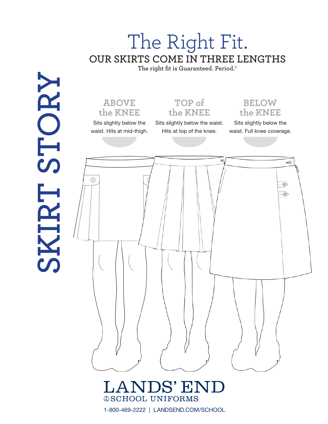### The Right Fit. **OUR SKIRTS COME IN THREE LENGTHS**

**The right fit is Guaranteed. Period.**®

### **ABOVE the KNEE**

Sits slightly below the waist. Hits at mid-thigh.

**SKIRT STORY**

Sits slightly below the waist. Hits at top of the knee.

**TOP of the KNEE**

**BELOW the KNEE**

Sits slightly below the waist. Full knee coverage.

G wW3  $^{\circledR}$ ⊛ R)

### **LANDS' END @SCHOOL UNIFORMS**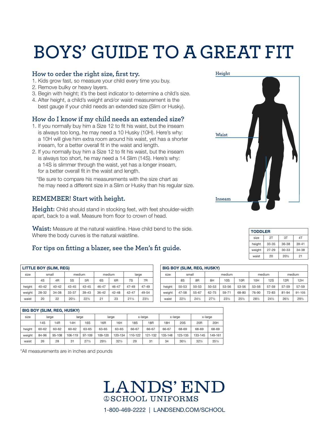# **BOYS' GUIDE TO A GREAT FIT**

### **How to order the right size, first try.**

- 1. Kids grow fast, so measure your child every time you buy.
- 2. Remove bulky or heavy layers.
- 3. Begin with height; it's the best indicator to determine a child's size.
- 4. After height, a child's weight and/or waist measurement is the best gauge if your child needs an extended size (Slim or Husky).

### **How do I know if my child needs an extended size?**

- 1. If you normally buy him a Size 12 to fit his waist, but the inseam is always too long, he may need a 10 Husky (10H). Here's why: a 10H will give him extra room around his waist, yet has a shorter inseam, for a better overall fit in the waist and length.
- 2. If you normally buy him a Size 12 to fit his waist, but the inseam is always too short, he may need a 14 Slim (14S). Here's why: a 14S is slimmer through the waist, yet has a longer inseam, for a better overall fit in the waist and length.

 \* Be sure to compare his measurements with the size chart as he may need a different size in a Slim or Husky than his regular size.

### **REMEMBER! Start with height.**

**Height:** Child should stand in stocking feet, with feet shoulder-width apart, back to a wall. Measure from floor to crown of head.

**Waist:** Measure at the natural waistline. Have child bend to the side. Where the body curves is the natural waistline.

### **For tips on fitting a blazer, see the Men's fit guide.**

| LITTLE BOY (SLIM, REG) |                      |           |           |           |           |                |                 |                |  |  |  |  |
|------------------------|----------------------|-----------|-----------|-----------|-----------|----------------|-----------------|----------------|--|--|--|--|
| size                   |                      | small     | medium    |           |           | medium         | large           |                |  |  |  |  |
|                        | 4S<br>4 <sub>R</sub> |           | 5S        | 5R        | 6S        | 6 <sub>R</sub> | 7S              | 7 <sub>R</sub> |  |  |  |  |
| height                 | $40 - 42$            | $40 - 42$ | $43 - 45$ | $43 - 45$ | 46-47     | $46 - 47$      | $47 - 49$       | 47-49          |  |  |  |  |
| weight                 | 28-32                | 34-38     | $33 - 37$ | $39 - 43$ | $36 - 42$ | $42 - 48$      | $42 - 47$       | 49-54          |  |  |  |  |
| waist                  | 20                   | 22        | $20\%$    | $22\%$    | 21        | 23             | $21\frac{1}{2}$ | 231/2          |  |  |  |  |

|        | <b>BIG BOY (SLIM, REG, HUSKY)</b> |        |         |                 |                 |                 |            |                 |         |                 |                 |                 |  |
|--------|-----------------------------------|--------|---------|-----------------|-----------------|-----------------|------------|-----------------|---------|-----------------|-----------------|-----------------|--|
| size   | large                             |        | large   |                 | large           |                 | x-large    |                 | x-large |                 | x-large         |                 |  |
|        | 14S                               | 14R    | 14H     | 16S             | 16 <sub>R</sub> | 16H             | <b>18S</b> | 18 <sub>R</sub> | 18H     | 20 <sub>S</sub> | 20 <sub>R</sub> | 20H             |  |
| height | 60-62                             | 60-62  | 60-62   | 63-65           | 63-65           | 63-65           | 66-67      | 66-67           | 66-67   | 68-69           | 68-69           | 68-69           |  |
| weight | 84-96                             | 95-108 | 106-119 | 97-109          | 109-120         | 120-134         | 110-122    | 121-132         | 135-148 | 123-135         | 133-145         | 149-161         |  |
| waist  | 26                                | 28     | 31      | $27\frac{1}{2}$ | 291/2           | $32\frac{1}{2}$ | 29         | 31              | 34      | $30\frac{1}{2}$ | $32\frac{1}{2}$ | $35\frac{1}{2}$ |  |

\*All measurements are in inches and pounds





| <b>TODDLER</b> |           |                 |           |
|----------------|-----------|-----------------|-----------|
| size           | 2T        | 3T              | 4T        |
| height         | $33 - 35$ | 36-38           | $39 - 41$ |
| weight         | 27-29     | $30 - 33$       | 34-38     |
| waist          | 20        | $20\frac{1}{2}$ | 21        |

| <b>BIG BOY (SLIM, REG, HUSKY)</b> |                 |                 |                 |                 |                 |       |                 |        |            |  |  |  |
|-----------------------------------|-----------------|-----------------|-----------------|-----------------|-----------------|-------|-----------------|--------|------------|--|--|--|
| size                              | small           |                 |                 | medium          |                 |       | medium          | medium |            |  |  |  |
|                                   | 8S              | 8R              | 8H              | 10S             | 10R             | 10H   | 12S             | 12R    | 12H        |  |  |  |
| height                            | 50-53           | 50-53           | $50 - 53$       | 53-56           | $53 - 56$       | 53-56 | 57-59           | 57-59  | 57-59      |  |  |  |
| weight                            | 47-58           | 55-67           | 62-75           | 59-71           | 68-80           | 76-90 | $72 - 83$       | 81-94  | $91 - 105$ |  |  |  |
| waist                             | $22\frac{1}{2}$ | $24\frac{1}{2}$ | $27\frac{1}{2}$ | $23\frac{1}{2}$ | $25\frac{1}{2}$ | 281/2 | $24\frac{1}{2}$ | 261/2  | 291/2      |  |  |  |